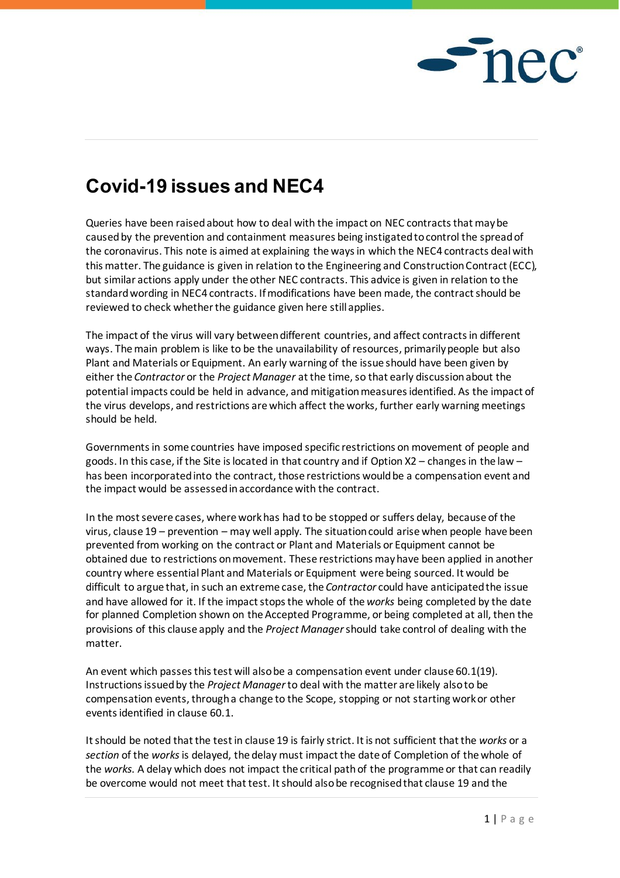

## **Covid-19 issues and NEC4**

Queries have been raised about how to deal with the impact on NEC contracts that may be caused by the prevention and containment measures being instigated to control the spread of the coronavirus. This note is aimed at explaining the ways in which the NEC4 contracts deal with this matter. The guidance is given in relation to the Engineering and Construction Contract (ECC), but similar actions apply under the other NEC contracts. This advice is given in relation to the standard wording in NEC4 contracts. If modifications have been made, the contract should be reviewed to check whether the guidance given here still applies.

The impact of the virus will vary between different countries, and affect contracts in different ways. The main problem is like to be the unavailability of resources, primarily people but also Plant and Materials or Equipment. An early warning of the issue should have been given by either the *Contractor* or the *Project Manager* at the time, so that early discussion about the potential impacts could be held in advance, and mitigation measures identified. As the impact of the virus develops, and restrictions are which affect the works, further early warning meetings should be held.

Governments in some countries have imposed specific restrictions on movement of people and goods. In this case, if the Site is located in that country and if Option X2 – changes in the law – has been incorporated into the contract, those restrictions would be a compensation event and the impact would be assessed in accordance with the contract.

In the most severe cases, where work has had to be stopped or suffers delay, because of the virus, clause 19 – prevention – may well apply. The situation could arise when people have been prevented from working on the contract or Plant and Materials or Equipment cannot be obtained due to restrictions on movement. These restrictions may have been applied in another country where essential Plant and Materials or Equipment were being sourced. It would be difficult to argue that, in such an extreme case, the *Contractor* could have anticipated the issue and have allowed for it. If the impact stops the whole of the *works* being completed by the date for planned Completion shown on the Accepted Programme, or being completed at all, then the provisions of this clause apply and the *Project Manager*should take control of dealing with the matter.

An event which passes this test will also be a compensation event under clause 60.1(19). Instructions issued by the *Project Manager*to deal with the matter are likely also to be compensation events, through a change to the Scope, stopping or not starting work or other events identified in clause 60.1.

It should be noted that the test in clause 19 is fairly strict. It is not sufficient that the *works* or a *section* of the *works*is delayed, the delay must impact the date of Completion of the whole of the *works*. A delay which does not impact the critical path of the programme or that can readily be overcome would not meet that test. It should also be recognised that clause 19 and the